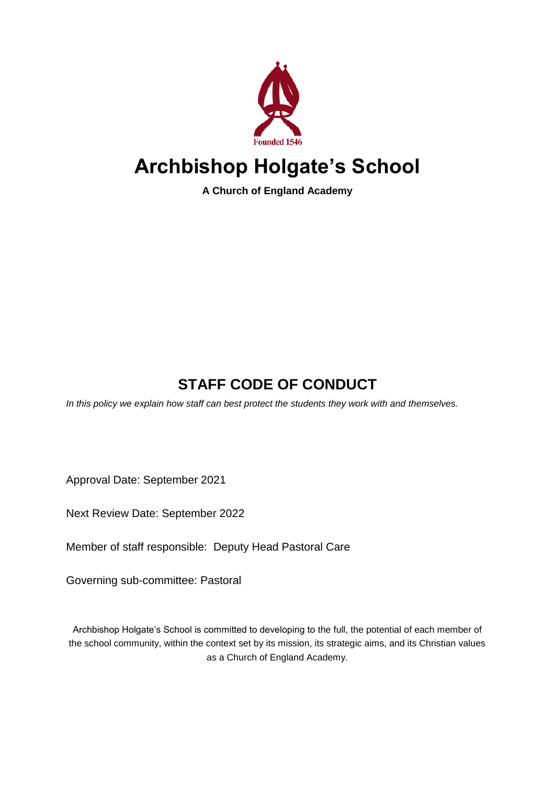

# **Archbishop Holgate's School**

**A Church of England Academy**

## **STAFF CODE OF CONDUCT**

*In this policy we explain how staff can best protect the students they work with and themselves.*

Approval Date: September 2021

Next Review Date: September 2022

Member of staff responsible: Deputy Head Pastoral Care

Governing sub-committee: Pastoral

Archbishop Holgate's School is committed to developing to the full, the potential of each member of the school community, within the context set by its mission, its strategic aims, and its Christian values as a Church of England Academy.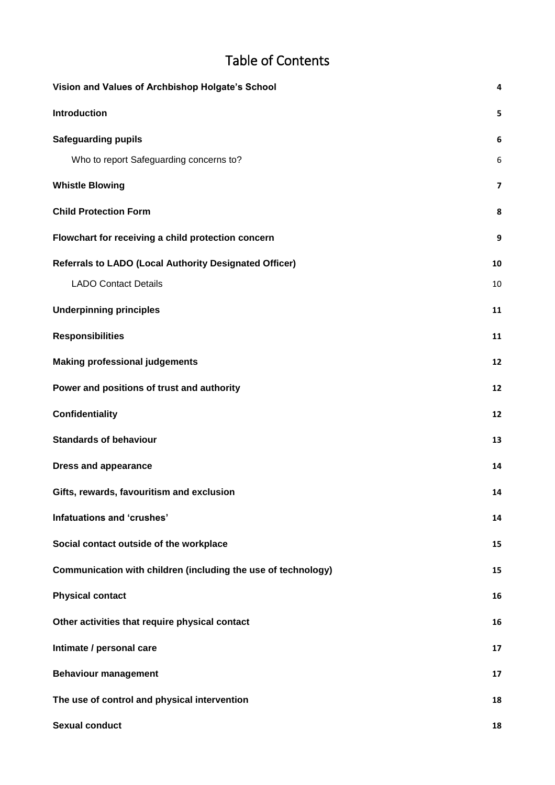### Table of Contents

| Vision and Values of Archbishop Holgate's School              | 4                       |
|---------------------------------------------------------------|-------------------------|
| Introduction                                                  | 5                       |
| <b>Safeguarding pupils</b>                                    | 6                       |
| Who to report Safeguarding concerns to?                       | 6                       |
| <b>Whistle Blowing</b>                                        | $\overline{\mathbf{z}}$ |
| <b>Child Protection Form</b>                                  | 8                       |
| Flowchart for receiving a child protection concern            | 9                       |
| <b>Referrals to LADO (Local Authority Designated Officer)</b> | 10                      |
| <b>LADO Contact Details</b>                                   | 10                      |
| <b>Underpinning principles</b>                                | 11                      |
| <b>Responsibilities</b>                                       | 11                      |
| <b>Making professional judgements</b>                         | 12                      |
| Power and positions of trust and authority                    | 12                      |
| <b>Confidentiality</b>                                        | 12                      |
| <b>Standards of behaviour</b>                                 | 13                      |
| <b>Dress and appearance</b>                                   | 14                      |
| Gifts, rewards, favouritism and exclusion                     | 14                      |
| Infatuations and 'crushes'                                    | 14                      |
| Social contact outside of the workplace                       | 15                      |
| Communication with children (including the use of technology) | 15                      |
| <b>Physical contact</b>                                       | 16                      |
| Other activities that require physical contact                | 16                      |
| Intimate / personal care                                      | 17                      |
| <b>Behaviour management</b>                                   | 17                      |
| The use of control and physical intervention                  | 18                      |
| <b>Sexual conduct</b>                                         | 18                      |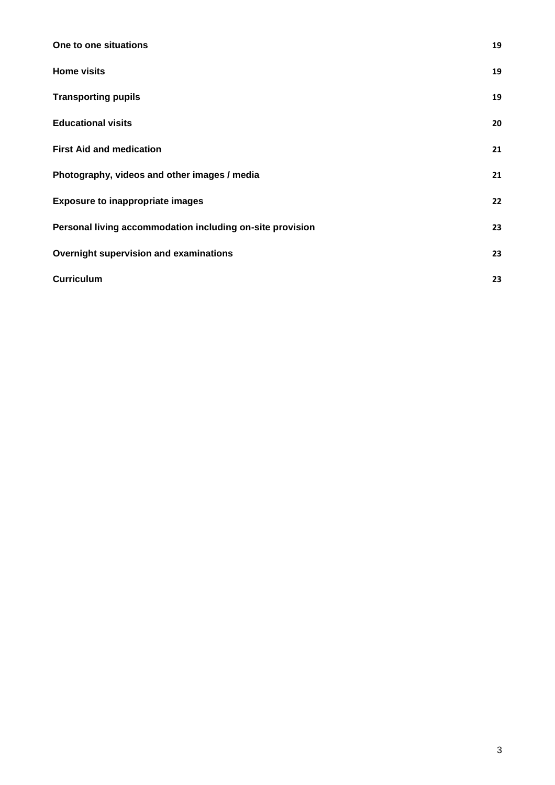| One to one situations                                     | 19 |
|-----------------------------------------------------------|----|
| <b>Home visits</b>                                        | 19 |
| <b>Transporting pupils</b>                                | 19 |
| <b>Educational visits</b>                                 | 20 |
| <b>First Aid and medication</b>                           | 21 |
| Photography, videos and other images / media              | 21 |
| <b>Exposure to inappropriate images</b>                   | 22 |
| Personal living accommodation including on-site provision | 23 |
| Overnight supervision and examinations                    | 23 |
| <b>Curriculum</b>                                         | 23 |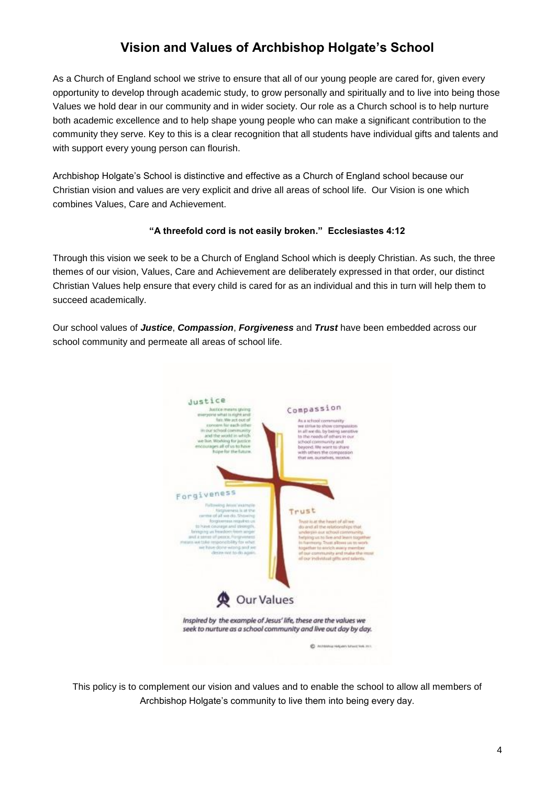### **Vision and Values of Archbishop Holgate's School**

<span id="page-3-0"></span>As a Church of England school we strive to ensure that all of our young people are cared for, given every opportunity to develop through academic study, to grow personally and spiritually and to live into being those Values we hold dear in our community and in wider society. Our role as a Church school is to help nurture both academic excellence and to help shape young people who can make a significant contribution to the community they serve. Key to this is a clear recognition that all students have individual gifts and talents and with support every young person can flourish.

Archbishop Holgate's School is distinctive and effective as a Church of England school because our Christian vision and values are very explicit and drive all areas of school life. Our Vision is one which combines Values, Care and Achievement.

#### **"A threefold cord is not easily broken." Ecclesiastes 4:12**

Through this vision we seek to be a Church of England School which is deeply Christian. As such, the three themes of our vision, Values, Care and Achievement are deliberately expressed in that order, our distinct Christian Values help ensure that every child is cared for as an individual and this in turn will help them to succeed academically.

Our school values of *Justice*, *Compassion*, *Forgiveness* and *Trust* have been embedded across our school community and permeate all areas of school life.



This policy is to complement our vision and values and to enable the school to allow all members of Archbishop Holgate's community to live them into being every day.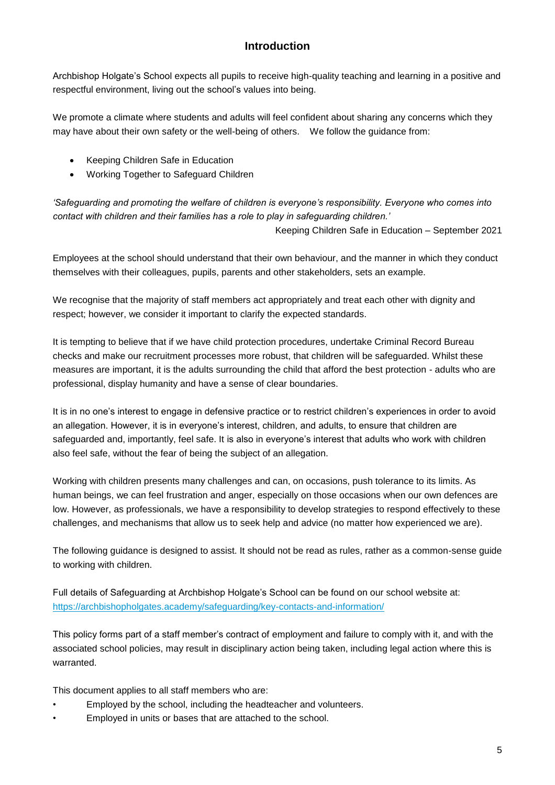#### **Introduction**

<span id="page-4-0"></span>Archbishop Holgate's School expects all pupils to receive high-quality teaching and learning in a positive and respectful environment, living out the school's values into being.

We promote a climate where students and adults will feel confident about sharing any concerns which they may have about their own safety or the well-being of others. We follow the guidance from:

- Keeping Children Safe in Education
- Working Together to Safeguard Children

*'Safeguarding and promoting the welfare of children is everyone's responsibility. Everyone who comes into contact with children and their families has a role to play in safeguarding children.'* 

Keeping Children Safe in Education – September 2021

Employees at the school should understand that their own behaviour, and the manner in which they conduct themselves with their colleagues, pupils, parents and other stakeholders, sets an example.

We recognise that the majority of staff members act appropriately and treat each other with dignity and respect; however, we consider it important to clarify the expected standards.

It is tempting to believe that if we have child protection procedures, undertake Criminal Record Bureau checks and make our recruitment processes more robust, that children will be safeguarded. Whilst these measures are important, it is the adults surrounding the child that afford the best protection - adults who are professional, display humanity and have a sense of clear boundaries.

It is in no one's interest to engage in defensive practice or to restrict children's experiences in order to avoid an allegation. However, it is in everyone's interest, children, and adults, to ensure that children are safeguarded and, importantly, feel safe. It is also in everyone's interest that adults who work with children also feel safe, without the fear of being the subject of an allegation.

Working with children presents many challenges and can, on occasions, push tolerance to its limits. As human beings, we can feel frustration and anger, especially on those occasions when our own defences are low. However, as professionals, we have a responsibility to develop strategies to respond effectively to these challenges, and mechanisms that allow us to seek help and advice (no matter how experienced we are).

The following guidance is designed to assist. It should not be read as rules, rather as a common-sense guide to working with children.

Full details of Safeguarding at Archbishop Holgate's School can be found on our school website at: <https://archbishopholgates.academy/safeguarding/key-contacts-and-information/>

This policy forms part of a staff member's contract of employment and failure to comply with it, and with the associated school policies, may result in disciplinary action being taken, including legal action where this is warranted.

This document applies to all staff members who are:

- Employed by the school, including the headteacher and volunteers.
- Employed in units or bases that are attached to the school.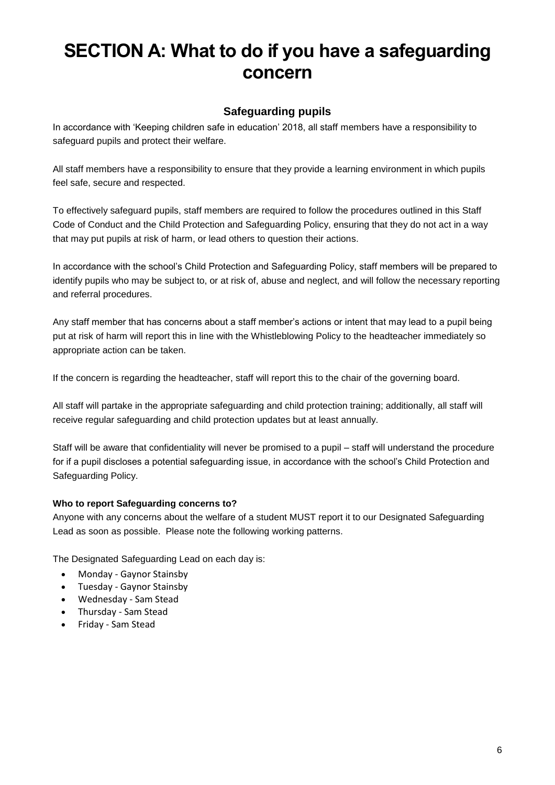# **SECTION A: What to do if you have a safeguarding concern**

#### **Safeguarding pupils**

<span id="page-5-0"></span>In accordance with 'Keeping children safe in education' 2018, all staff members have a responsibility to safeguard pupils and protect their welfare.

All staff members have a responsibility to ensure that they provide a learning environment in which pupils feel safe, secure and respected.

To effectively safeguard pupils, staff members are required to follow the procedures outlined in this Staff Code of Conduct and the Child Protection and Safeguarding Policy, ensuring that they do not act in a way that may put pupils at risk of harm, or lead others to question their actions.

In accordance with the school's Child Protection and Safeguarding Policy, staff members will be prepared to identify pupils who may be subject to, or at risk of, abuse and neglect, and will follow the necessary reporting and referral procedures.

Any staff member that has concerns about a staff member's actions or intent that may lead to a pupil being put at risk of harm will report this in line with the Whistleblowing Policy to the headteacher immediately so appropriate action can be taken.

If the concern is regarding the headteacher, staff will report this to the chair of the governing board.

All staff will partake in the appropriate safeguarding and child protection training; additionally, all staff will receive regular safeguarding and child protection updates but at least annually.

Staff will be aware that confidentiality will never be promised to a pupil – staff will understand the procedure for if a pupil discloses a potential safeguarding issue, in accordance with the school's Child Protection and Safeguarding Policy.

#### <span id="page-5-1"></span>**Who to report Safeguarding concerns to?**

Anyone with any concerns about the welfare of a student MUST report it to our Designated Safeguarding Lead as soon as possible. Please note the following working patterns.

The Designated Safeguarding Lead on each day is:

- Monday Gaynor Stainsby
- Tuesday Gaynor Stainsby
- Wednesday Sam Stead
- Thursday Sam Stead
- Friday Sam Stead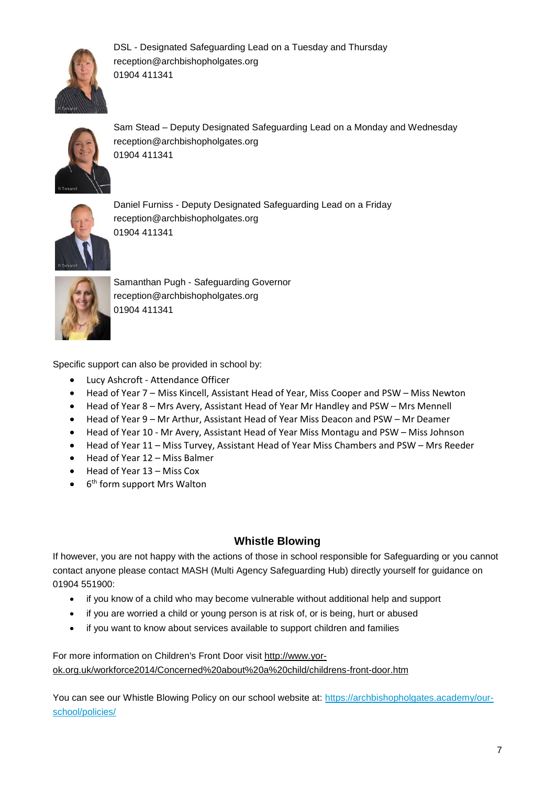

DSL - Designated Safeguarding Lead on a Tuesday and Thursday reception@archbishopholgates.org 01904 411341



Sam Stead – Deputy Designated Safeguarding Lead on a Monday and Wednesday reception@archbishopholgates.org 01904 411341



Daniel Furniss - Deputy Designated Safeguarding Lead on a Friday reception@archbishopholgates.org 01904 411341



Samanthan Pugh - Safeguarding Governor reception@archbishopholgates.org 01904 411341

Specific support can also be provided in school by:

- Lucy Ashcroft Attendance Officer
- Head of Year 7 Miss Kincell, Assistant Head of Year, Miss Cooper and PSW Miss Newton
- Head of Year 8 Mrs Avery, Assistant Head of Year Mr Handley and PSW Mrs Mennell
- Head of Year 9 Mr Arthur, Assistant Head of Year Miss Deacon and PSW Mr Deamer
- Head of Year 10 Mr Avery, Assistant Head of Year Miss Montagu and PSW Miss Johnson
- Head of Year 11 Miss Turvey, Assistant Head of Year Miss Chambers and PSW Mrs Reeder
- Head of Year 12 Miss Balmer
- Head of Year 13 Miss Cox
- $\bullet$ 6<sup>th</sup> form support Mrs Walton

#### **Whistle Blowing**

<span id="page-6-0"></span>If however, you are not happy with the actions of those in school responsible for Safeguarding or you cannot contact anyone please contact MASH (Multi Agency Safeguarding Hub) directly yourself for guidance on 01904 551900:

- if you know of a child who may become vulnerable without additional help and support
- if you are worried a child or young person is at risk of, or is being, hurt or abused
- if you want to know about services available to support children and families

For more information on Children's Front Door visit [http://www.yor](http://www.yor-ok.org.uk/workforce2014/Concerned%20about%20a%20child/childrens-front-door.htm)[ok.org.uk/workforce2014/Concerned%20about%20a%20child/childrens-front-door.htm](http://www.yor-ok.org.uk/workforce2014/Concerned%20about%20a%20child/childrens-front-door.htm)

You can see our Whistle Blowing Policy on our school website at: [https://archbishopholgates.academy/our](https://archbishopholgates.academy/our-school/policies/)[school/policies/](https://archbishopholgates.academy/our-school/policies/)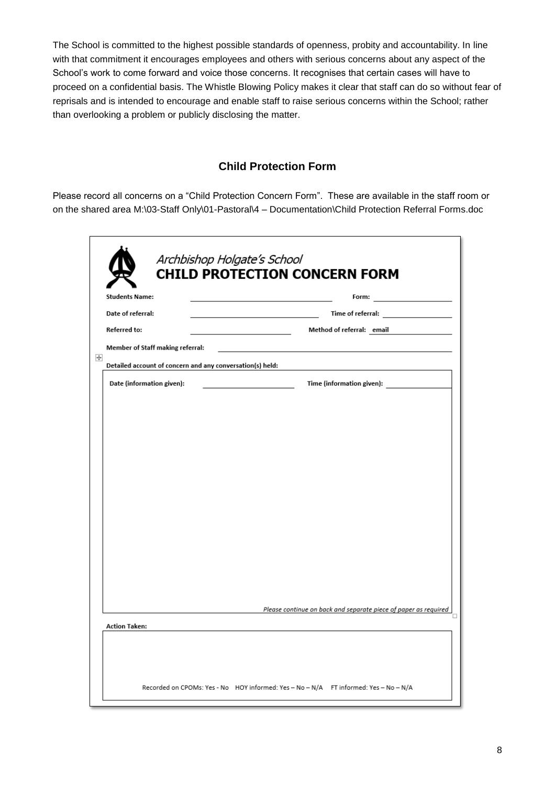The School is committed to the highest possible standards of openness, probity and accountability. In line with that commitment it encourages employees and others with serious concerns about any aspect of the School's work to come forward and voice those concerns. It recognises that certain cases will have to proceed on a confidential basis. The Whistle Blowing Policy makes it clear that staff can do so without fear of reprisals and is intended to encourage and enable staff to raise serious concerns within the School; rather than overlooking a problem or publicly disclosing the matter.

#### **Child Protection Form**

<span id="page-7-0"></span>Please record all concerns on a "Child Protection Concern Form". These are available in the staff room or on the shared area M:\03-Staff Only\01-Pastoral\4 – [Documentation\Child Protection Referral Forms.doc](file://///PMAT-DATA01/Admin_Users/Central%20Services/jdeamer/Documents/03-Staff%20Only/01-Pastoral/4%20-%20Documentation/Child%20Protection%20Referral%20Forms/Child%20Protection%20Referral%20Form.docx)

| <b>Students Name:</b>                                               | the control of the control of the control of the control of          |
|---------------------------------------------------------------------|----------------------------------------------------------------------|
| Date of referral:                                                   | Time of referral: Time of referral                                   |
| <b>Referred to:</b><br>the control of the control of the control of | Method of referral: email                                            |
| Member of Staff making referral:                                    |                                                                      |
| Detailed account of concern and any conversation(s) held:           |                                                                      |
| Date (information given):                                           | Time (information given):<br><u> 1980 - Johann Barbara, martin d</u> |
|                                                                     |                                                                      |
|                                                                     |                                                                      |
|                                                                     |                                                                      |
|                                                                     |                                                                      |
|                                                                     |                                                                      |
|                                                                     |                                                                      |
|                                                                     |                                                                      |
|                                                                     |                                                                      |
|                                                                     |                                                                      |
|                                                                     |                                                                      |
|                                                                     |                                                                      |
|                                                                     |                                                                      |
|                                                                     | Please continue on back and separate piece of paper as required      |
| <b>Action Taken:</b>                                                |                                                                      |
|                                                                     |                                                                      |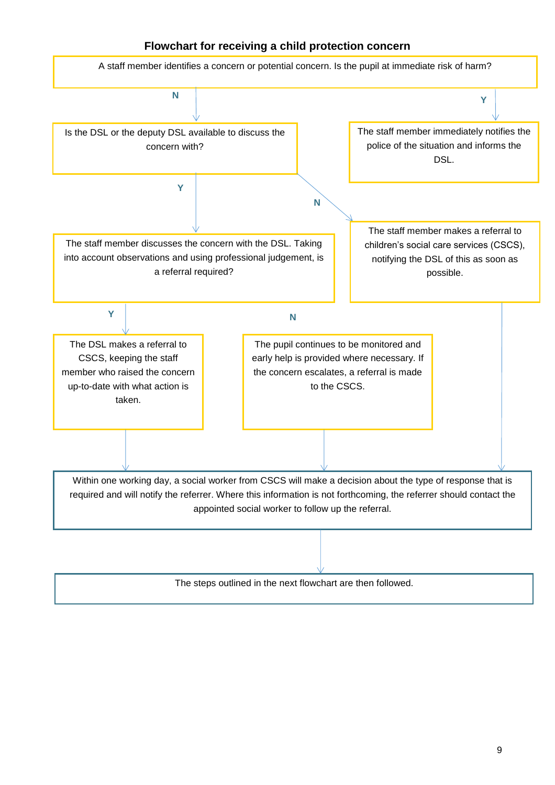#### **Flowchart for receiving a child protection concern**

<span id="page-8-0"></span>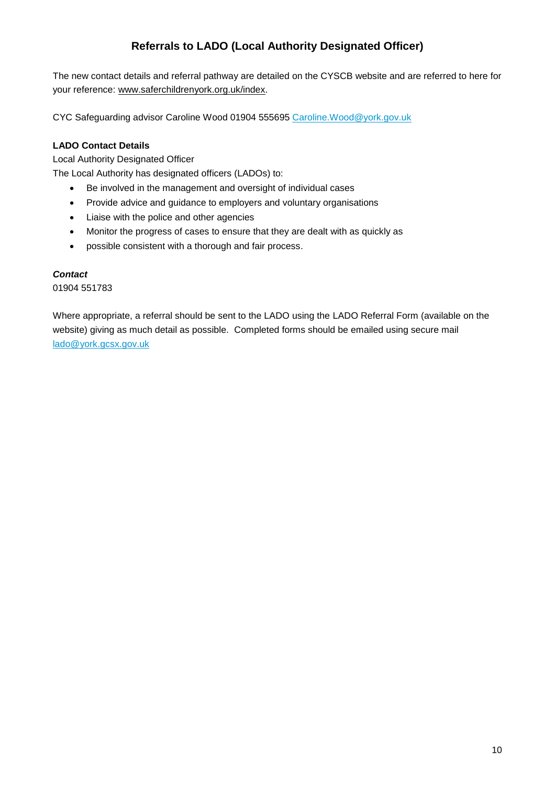### **Referrals to LADO (Local Authority Designated Officer)**

<span id="page-9-0"></span>The new contact details and referral pathway are detailed on the CYSCB website and are referred to here for your reference: [www.saferchildrenyork.org.uk/index.](http://www.saferchildrenyork.org.uk/index)

CYC Safeguarding advisor Caroline Wood 01904 555695 [Caroline.Wood@york.gov.uk](mailto:Caroline.Wood@york.gov.uk)

#### <span id="page-9-1"></span>**LADO Contact Details**

Local Authority Designated Officer

The Local Authority has designated officers (LADOs) to:

- Be involved in the management and oversight of individual cases
- Provide advice and guidance to employers and voluntary organisations
- Liaise with the police and other agencies
- Monitor the progress of cases to ensure that they are dealt with as quickly as
- possible consistent with a thorough and fair process.

#### *Contact*

01904 551783

Where appropriate, a referral should be sent to the LADO using the [LADO Referral Form](http://www.saferchildrenyork.org.uk/Downloads/LADORefForm.docx) (available on the website) giving as much detail as possible. Completed forms should be emailed using secure mail [lado@york.gcsx.gov.uk](mailto:lado@york.gcsx.gov.uk)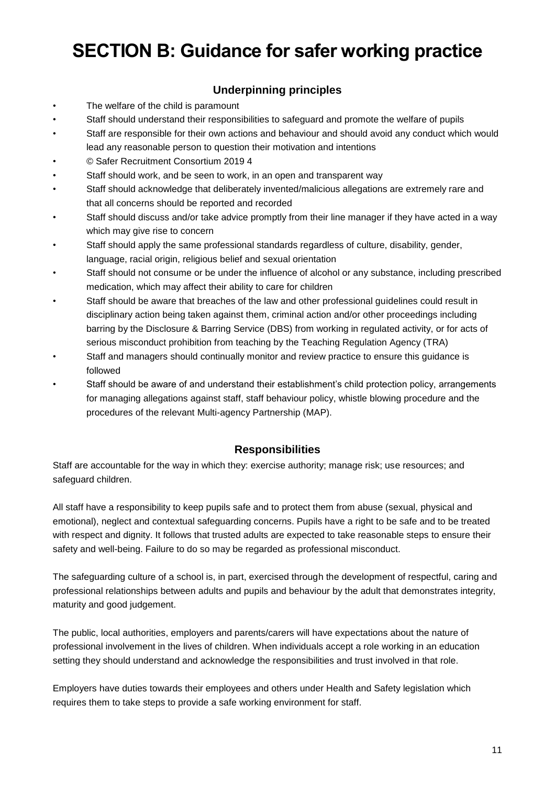# <span id="page-10-0"></span>**SECTION B: Guidance for safer working practice**

#### **Underpinning principles**

- The welfare of the child is paramount
- Staff should understand their responsibilities to safeguard and promote the welfare of pupils
- Staff are responsible for their own actions and behaviour and should avoid any conduct which would lead any reasonable person to question their motivation and intentions
- © Safer Recruitment Consortium 2019 4
- Staff should work, and be seen to work, in an open and transparent way
- Staff should acknowledge that deliberately invented/malicious allegations are extremely rare and that all concerns should be reported and recorded
- Staff should discuss and/or take advice promptly from their line manager if they have acted in a way which may give rise to concern
- Staff should apply the same professional standards regardless of culture, disability, gender, language, racial origin, religious belief and sexual orientation
- Staff should not consume or be under the influence of alcohol or any substance, including prescribed medication, which may affect their ability to care for children
- Staff should be aware that breaches of the law and other professional guidelines could result in disciplinary action being taken against them, criminal action and/or other proceedings including barring by the Disclosure & Barring Service (DBS) from working in regulated activity, or for acts of serious misconduct prohibition from teaching by the Teaching Regulation Agency (TRA)
- Staff and managers should continually monitor and review practice to ensure this guidance is followed
- Staff should be aware of and understand their establishment's child protection policy, arrangements for managing allegations against staff, staff behaviour policy, whistle blowing procedure and the procedures of the relevant Multi-agency Partnership (MAP).

#### **Responsibilities**

<span id="page-10-1"></span>Staff are accountable for the way in which they: exercise authority; manage risk; use resources; and safeguard children.

All staff have a responsibility to keep pupils safe and to protect them from abuse (sexual, physical and emotional), neglect and contextual safeguarding concerns. Pupils have a right to be safe and to be treated with respect and dignity. It follows that trusted adults are expected to take reasonable steps to ensure their safety and well-being. Failure to do so may be regarded as professional misconduct.

The safeguarding culture of a school is, in part, exercised through the development of respectful, caring and professional relationships between adults and pupils and behaviour by the adult that demonstrates integrity, maturity and good judgement.

The public, local authorities, employers and parents/carers will have expectations about the nature of professional involvement in the lives of children. When individuals accept a role working in an education setting they should understand and acknowledge the responsibilities and trust involved in that role.

Employers have duties towards their employees and others under Health and Safety legislation which requires them to take steps to provide a safe working environment for staff.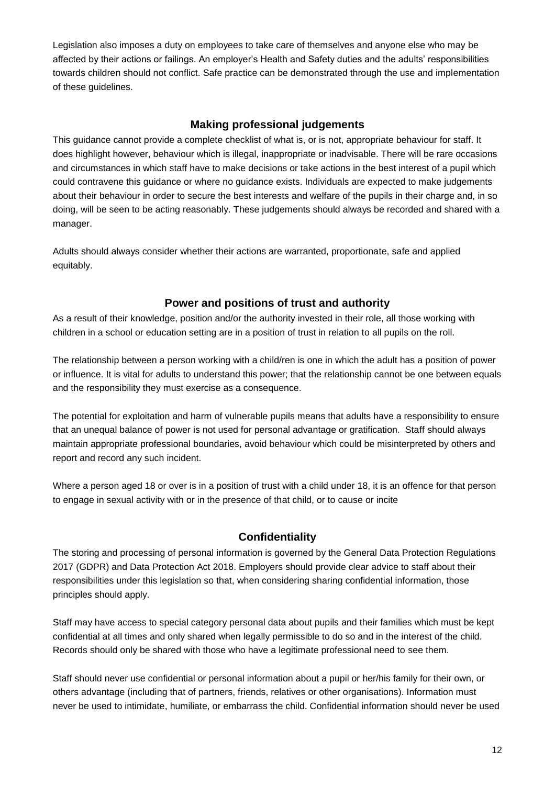Legislation also imposes a duty on employees to take care of themselves and anyone else who may be affected by their actions or failings. An employer's Health and Safety duties and the adults' responsibilities towards children should not conflict. Safe practice can be demonstrated through the use and implementation of these guidelines.

#### **Making professional judgements**

<span id="page-11-0"></span>This guidance cannot provide a complete checklist of what is, or is not, appropriate behaviour for staff. It does highlight however, behaviour which is illegal, inappropriate or inadvisable. There will be rare occasions and circumstances in which staff have to make decisions or take actions in the best interest of a pupil which could contravene this guidance or where no guidance exists. Individuals are expected to make judgements about their behaviour in order to secure the best interests and welfare of the pupils in their charge and, in so doing, will be seen to be acting reasonably. These judgements should always be recorded and shared with a manager.

<span id="page-11-1"></span>Adults should always consider whether their actions are warranted, proportionate, safe and applied equitably.

#### **Power and positions of trust and authority**

As a result of their knowledge, position and/or the authority invested in their role, all those working with children in a school or education setting are in a position of trust in relation to all pupils on the roll.

The relationship between a person working with a child/ren is one in which the adult has a position of power or influence. It is vital for adults to understand this power; that the relationship cannot be one between equals and the responsibility they must exercise as a consequence.

The potential for exploitation and harm of vulnerable pupils means that adults have a responsibility to ensure that an unequal balance of power is not used for personal advantage or gratification. Staff should always maintain appropriate professional boundaries, avoid behaviour which could be misinterpreted by others and report and record any such incident.

<span id="page-11-2"></span>Where a person aged 18 or over is in a position of trust with a child under 18, it is an offence for that person to engage in sexual activity with or in the presence of that child, or to cause or incite

#### **Confidentiality**

The storing and processing of personal information is governed by the General Data Protection Regulations 2017 (GDPR) and Data Protection Act 2018. Employers should provide clear advice to staff about their responsibilities under this legislation so that, when considering sharing confidential information, those principles should apply.

Staff may have access to special category personal data about pupils and their families which must be kept confidential at all times and only shared when legally permissible to do so and in the interest of the child. Records should only be shared with those who have a legitimate professional need to see them.

Staff should never use confidential or personal information about a pupil or her/his family for their own, or others advantage (including that of partners, friends, relatives or other organisations). Information must never be used to intimidate, humiliate, or embarrass the child. Confidential information should never be used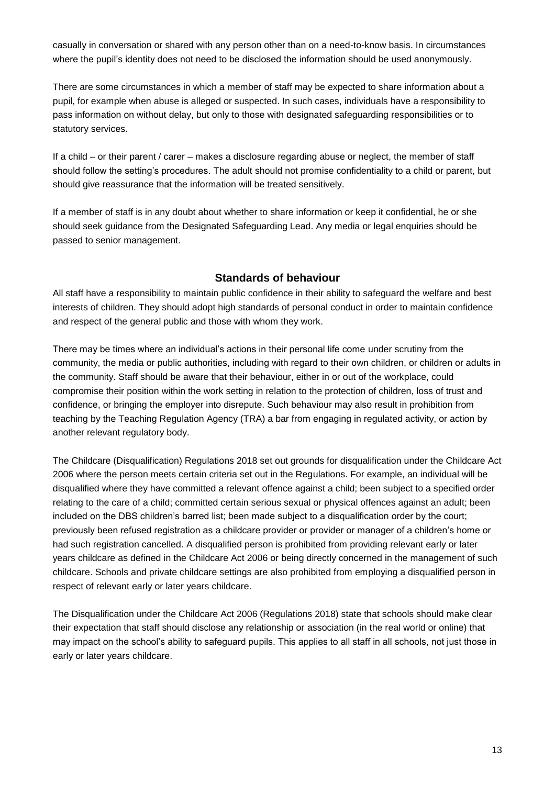casually in conversation or shared with any person other than on a need-to-know basis. In circumstances where the pupil's identity does not need to be disclosed the information should be used anonymously.

There are some circumstances in which a member of staff may be expected to share information about a pupil, for example when abuse is alleged or suspected. In such cases, individuals have a responsibility to pass information on without delay, but only to those with designated safeguarding responsibilities or to statutory services.

If a child – or their parent / carer – makes a disclosure regarding abuse or neglect, the member of staff should follow the setting's procedures. The adult should not promise confidentiality to a child or parent, but should give reassurance that the information will be treated sensitively.

If a member of staff is in any doubt about whether to share information or keep it confidential, he or she should seek guidance from the Designated Safeguarding Lead. Any media or legal enquiries should be passed to senior management.

#### **Standards of behaviour**

<span id="page-12-0"></span>All staff have a responsibility to maintain public confidence in their ability to safeguard the welfare and best interests of children. They should adopt high standards of personal conduct in order to maintain confidence and respect of the general public and those with whom they work.

There may be times where an individual's actions in their personal life come under scrutiny from the community, the media or public authorities, including with regard to their own children, or children or adults in the community. Staff should be aware that their behaviour, either in or out of the workplace, could compromise their position within the work setting in relation to the protection of children, loss of trust and confidence, or bringing the employer into disrepute. Such behaviour may also result in prohibition from teaching by the Teaching Regulation Agency (TRA) a bar from engaging in regulated activity, or action by another relevant regulatory body.

The Childcare (Disqualification) Regulations 2018 set out grounds for disqualification under the Childcare Act 2006 where the person meets certain criteria set out in the Regulations. For example, an individual will be disqualified where they have committed a relevant offence against a child; been subject to a specified order relating to the care of a child; committed certain serious sexual or physical offences against an adult; been included on the DBS children's barred list; been made subject to a disqualification order by the court; previously been refused registration as a childcare provider or provider or manager of a children's home or had such registration cancelled. A disqualified person is prohibited from providing relevant early or later years childcare as defined in the Childcare Act 2006 or being directly concerned in the management of such childcare. Schools and private childcare settings are also prohibited from employing a disqualified person in respect of relevant early or later years childcare.

The Disqualification under the Childcare Act 2006 (Regulations 2018) state that schools should make clear their expectation that staff should disclose any relationship or association (in the real world or online) that may impact on the school's ability to safeguard pupils. This applies to all staff in all schools, not just those in early or later years childcare.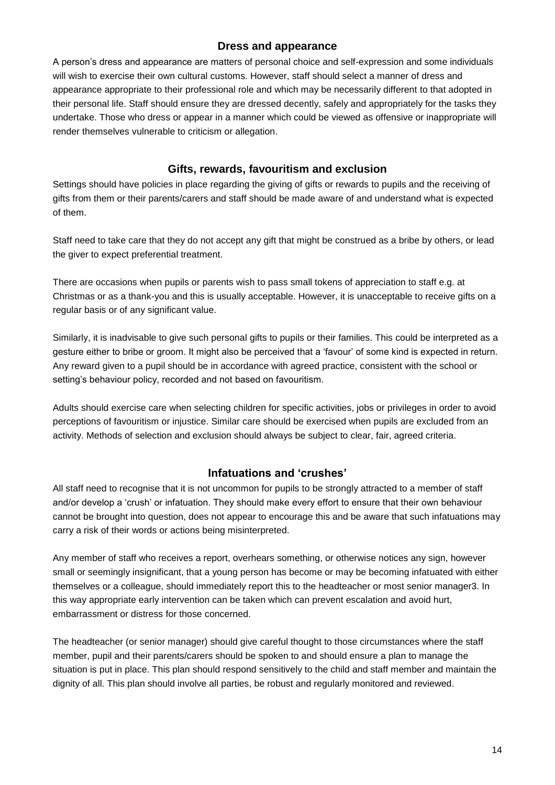#### **Dress and appearance**

<span id="page-13-0"></span>A person's dress and appearance are matters of personal choice and self-expression and some individuals will wish to exercise their own cultural customs. However, staff should select a manner of dress and appearance appropriate to their professional role and which may be necessarily different to that adopted in their personal life. Staff should ensure they are dressed decently, safely and appropriately for the tasks they undertake. Those who dress or appear in a manner which could be viewed as offensive or inappropriate will render themselves vulnerable to criticism or allegation.

#### **Gifts, rewards, favouritism and exclusion**

<span id="page-13-1"></span>Settings should have policies in place regarding the giving of gifts or rewards to pupils and the receiving of gifts from them or their parents/carers and staff should be made aware of and understand what is expected of them.

Staff need to take care that they do not accept any gift that might be construed as a bribe by others, or lead the giver to expect preferential treatment.

There are occasions when pupils or parents wish to pass small tokens of appreciation to staff e.g. at Christmas or as a thank-you and this is usually acceptable. However, it is unacceptable to receive gifts on a regular basis or of any significant value.

Similarly, it is inadvisable to give such personal gifts to pupils or their families. This could be interpreted as a gesture either to bribe or groom. It might also be perceived that a 'favour' of some kind is expected in return. Any reward given to a pupil should be in accordance with agreed practice, consistent with the school or setting's behaviour policy, recorded and not based on favouritism.

Adults should exercise care when selecting children for specific activities, jobs or privileges in order to avoid perceptions of favouritism or injustice. Similar care should be exercised when pupils are excluded from an activity. Methods of selection and exclusion should always be subject to clear, fair, agreed criteria.

#### **Infatuations and 'crushes'**

<span id="page-13-2"></span>All staff need to recognise that it is not uncommon for pupils to be strongly attracted to a member of staff and/or develop a 'crush' or infatuation. They should make every effort to ensure that their own behaviour cannot be brought into question, does not appear to encourage this and be aware that such infatuations may carry a risk of their words or actions being misinterpreted.

Any member of staff who receives a report, overhears something, or otherwise notices any sign, however small or seemingly insignificant, that a young person has become or may be becoming infatuated with either themselves or a colleague, should immediately report this to the headteacher or most senior manager3. In this way appropriate early intervention can be taken which can prevent escalation and avoid hurt, embarrassment or distress for those concerned.

The headteacher (or senior manager) should give careful thought to those circumstances where the staff member, pupil and their parents/carers should be spoken to and should ensure a plan to manage the situation is put in place. This plan should respond sensitively to the child and staff member and maintain the dignity of all. This plan should involve all parties, be robust and regularly monitored and reviewed.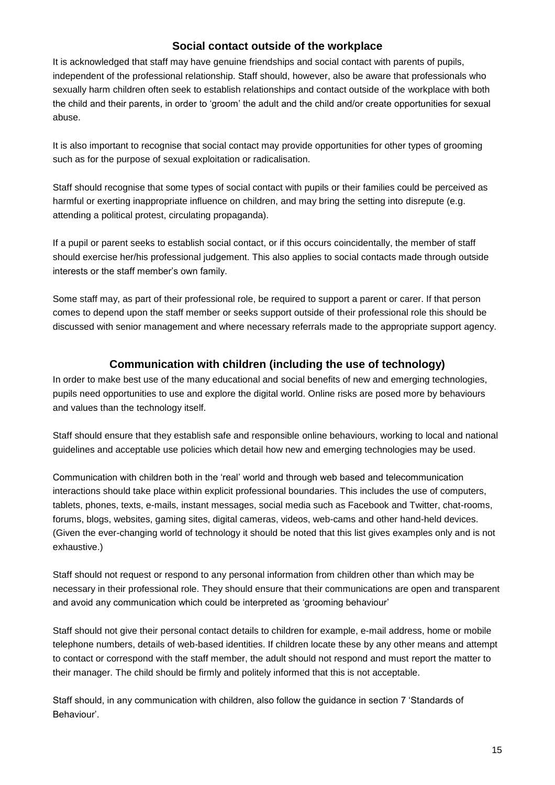#### **Social contact outside of the workplace**

<span id="page-14-0"></span>It is acknowledged that staff may have genuine friendships and social contact with parents of pupils, independent of the professional relationship. Staff should, however, also be aware that professionals who sexually harm children often seek to establish relationships and contact outside of the workplace with both the child and their parents, in order to 'groom' the adult and the child and/or create opportunities for sexual abuse.

It is also important to recognise that social contact may provide opportunities for other types of grooming such as for the purpose of sexual exploitation or radicalisation.

Staff should recognise that some types of social contact with pupils or their families could be perceived as harmful or exerting inappropriate influence on children, and may bring the setting into disrepute (e.g. attending a political protest, circulating propaganda).

If a pupil or parent seeks to establish social contact, or if this occurs coincidentally, the member of staff should exercise her/his professional judgement. This also applies to social contacts made through outside interests or the staff member's own family.

Some staff may, as part of their professional role, be required to support a parent or carer. If that person comes to depend upon the staff member or seeks support outside of their professional role this should be discussed with senior management and where necessary referrals made to the appropriate support agency.

#### **Communication with children (including the use of technology)**

<span id="page-14-1"></span>In order to make best use of the many educational and social benefits of new and emerging technologies, pupils need opportunities to use and explore the digital world. Online risks are posed more by behaviours and values than the technology itself.

Staff should ensure that they establish safe and responsible online behaviours, working to local and national guidelines and acceptable use policies which detail how new and emerging technologies may be used.

Communication with children both in the 'real' world and through web based and telecommunication interactions should take place within explicit professional boundaries. This includes the use of computers, tablets, phones, texts, e-mails, instant messages, social media such as Facebook and Twitter, chat-rooms, forums, blogs, websites, gaming sites, digital cameras, videos, web-cams and other hand-held devices. (Given the ever-changing world of technology it should be noted that this list gives examples only and is not exhaustive.)

Staff should not request or respond to any personal information from children other than which may be necessary in their professional role. They should ensure that their communications are open and transparent and avoid any communication which could be interpreted as 'grooming behaviour'

Staff should not give their personal contact details to children for example, e-mail address, home or mobile telephone numbers, details of web-based identities. If children locate these by any other means and attempt to contact or correspond with the staff member, the adult should not respond and must report the matter to their manager. The child should be firmly and politely informed that this is not acceptable.

Staff should, in any communication with children, also follow the guidance in section 7 'Standards of Behaviour'.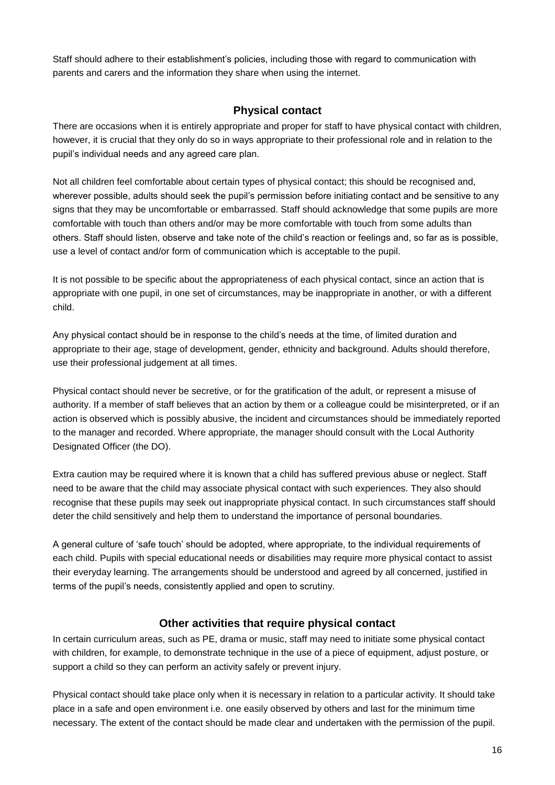<span id="page-15-0"></span>Staff should adhere to their establishment's policies, including those with regard to communication with parents and carers and the information they share when using the internet.

#### **Physical contact**

There are occasions when it is entirely appropriate and proper for staff to have physical contact with children, however, it is crucial that they only do so in ways appropriate to their professional role and in relation to the pupil's individual needs and any agreed care plan.

Not all children feel comfortable about certain types of physical contact; this should be recognised and, wherever possible, adults should seek the pupil's permission before initiating contact and be sensitive to any signs that they may be uncomfortable or embarrassed. Staff should acknowledge that some pupils are more comfortable with touch than others and/or may be more comfortable with touch from some adults than others. Staff should listen, observe and take note of the child's reaction or feelings and, so far as is possible, use a level of contact and/or form of communication which is acceptable to the pupil.

It is not possible to be specific about the appropriateness of each physical contact, since an action that is appropriate with one pupil, in one set of circumstances, may be inappropriate in another, or with a different child.

Any physical contact should be in response to the child's needs at the time, of limited duration and appropriate to their age, stage of development, gender, ethnicity and background. Adults should therefore, use their professional judgement at all times.

Physical contact should never be secretive, or for the gratification of the adult, or represent a misuse of authority. If a member of staff believes that an action by them or a colleague could be misinterpreted, or if an action is observed which is possibly abusive, the incident and circumstances should be immediately reported to the manager and recorded. Where appropriate, the manager should consult with the Local Authority Designated Officer (the DO).

Extra caution may be required where it is known that a child has suffered previous abuse or neglect. Staff need to be aware that the child may associate physical contact with such experiences. They also should recognise that these pupils may seek out inappropriate physical contact. In such circumstances staff should deter the child sensitively and help them to understand the importance of personal boundaries.

A general culture of 'safe touch' should be adopted, where appropriate, to the individual requirements of each child. Pupils with special educational needs or disabilities may require more physical contact to assist their everyday learning. The arrangements should be understood and agreed by all concerned, justified in terms of the pupil's needs, consistently applied and open to scrutiny.

#### **Other activities that require physical contact**

<span id="page-15-1"></span>In certain curriculum areas, such as PE, drama or music, staff may need to initiate some physical contact with children, for example, to demonstrate technique in the use of a piece of equipment, adjust posture, or support a child so they can perform an activity safely or prevent injury.

Physical contact should take place only when it is necessary in relation to a particular activity. It should take place in a safe and open environment i.e. one easily observed by others and last for the minimum time necessary. The extent of the contact should be made clear and undertaken with the permission of the pupil.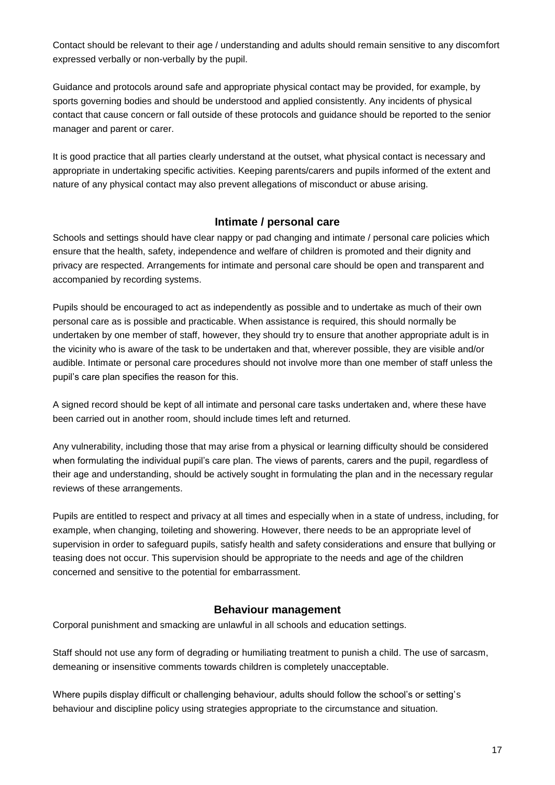Contact should be relevant to their age / understanding and adults should remain sensitive to any discomfort expressed verbally or non-verbally by the pupil.

Guidance and protocols around safe and appropriate physical contact may be provided, for example, by sports governing bodies and should be understood and applied consistently. Any incidents of physical contact that cause concern or fall outside of these protocols and guidance should be reported to the senior manager and parent or carer.

It is good practice that all parties clearly understand at the outset, what physical contact is necessary and appropriate in undertaking specific activities. Keeping parents/carers and pupils informed of the extent and nature of any physical contact may also prevent allegations of misconduct or abuse arising.

#### **Intimate / personal care**

<span id="page-16-0"></span>Schools and settings should have clear nappy or pad changing and intimate / personal care policies which ensure that the health, safety, independence and welfare of children is promoted and their dignity and privacy are respected. Arrangements for intimate and personal care should be open and transparent and accompanied by recording systems.

Pupils should be encouraged to act as independently as possible and to undertake as much of their own personal care as is possible and practicable. When assistance is required, this should normally be undertaken by one member of staff, however, they should try to ensure that another appropriate adult is in the vicinity who is aware of the task to be undertaken and that, wherever possible, they are visible and/or audible. Intimate or personal care procedures should not involve more than one member of staff unless the pupil's care plan specifies the reason for this.

A signed record should be kept of all intimate and personal care tasks undertaken and, where these have been carried out in another room, should include times left and returned.

Any vulnerability, including those that may arise from a physical or learning difficulty should be considered when formulating the individual pupil's care plan. The views of parents, carers and the pupil, regardless of their age and understanding, should be actively sought in formulating the plan and in the necessary regular reviews of these arrangements.

Pupils are entitled to respect and privacy at all times and especially when in a state of undress, including, for example, when changing, toileting and showering. However, there needs to be an appropriate level of supervision in order to safeguard pupils, satisfy health and safety considerations and ensure that bullying or teasing does not occur. This supervision should be appropriate to the needs and age of the children concerned and sensitive to the potential for embarrassment.

#### **Behaviour management**

<span id="page-16-1"></span>Corporal punishment and smacking are unlawful in all schools and education settings.

Staff should not use any form of degrading or humiliating treatment to punish a child. The use of sarcasm, demeaning or insensitive comments towards children is completely unacceptable.

Where pupils display difficult or challenging behaviour, adults should follow the school's or setting's behaviour and discipline policy using strategies appropriate to the circumstance and situation.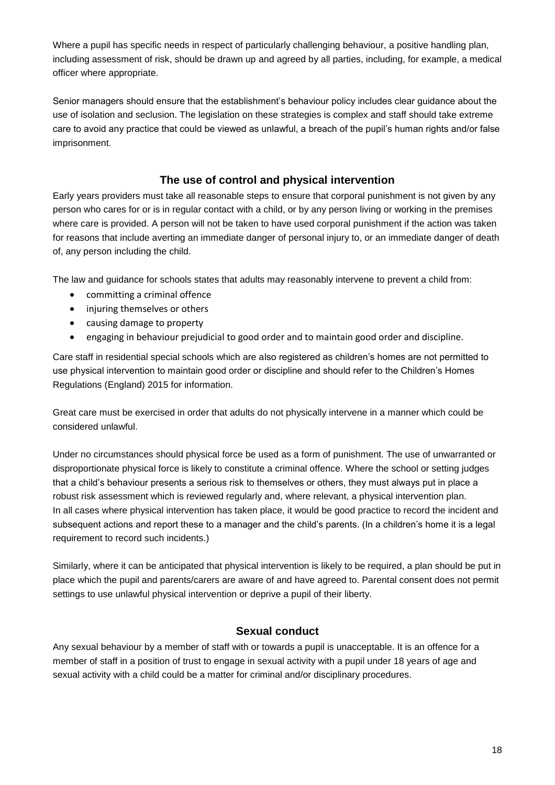Where a pupil has specific needs in respect of particularly challenging behaviour, a positive handling plan, including assessment of risk, should be drawn up and agreed by all parties, including, for example, a medical officer where appropriate.

Senior managers should ensure that the establishment's behaviour policy includes clear guidance about the use of isolation and seclusion. The legislation on these strategies is complex and staff should take extreme care to avoid any practice that could be viewed as unlawful, a breach of the pupil's human rights and/or false imprisonment.

#### **The use of control and physical intervention**

<span id="page-17-0"></span>Early years providers must take all reasonable steps to ensure that corporal punishment is not given by any person who cares for or is in regular contact with a child, or by any person living or working in the premises where care is provided. A person will not be taken to have used corporal punishment if the action was taken for reasons that include averting an immediate danger of personal injury to, or an immediate danger of death of, any person including the child.

The law and guidance for schools states that adults may reasonably intervene to prevent a child from:

- committing a criminal offence
- injuring themselves or others
- causing damage to property
- engaging in behaviour prejudicial to good order and to maintain good order and discipline.

Care staff in residential special schools which are also registered as children's homes are not permitted to use physical intervention to maintain good order or discipline and should refer to the Children's Homes Regulations (England) 2015 for information.

Great care must be exercised in order that adults do not physically intervene in a manner which could be considered unlawful.

Under no circumstances should physical force be used as a form of punishment. The use of unwarranted or disproportionate physical force is likely to constitute a criminal offence. Where the school or setting judges that a child's behaviour presents a serious risk to themselves or others, they must always put in place a robust risk assessment which is reviewed regularly and, where relevant, a physical intervention plan. In all cases where physical intervention has taken place, it would be good practice to record the incident and subsequent actions and report these to a manager and the child's parents. (In a children's home it is a legal requirement to record such incidents.)

Similarly, where it can be anticipated that physical intervention is likely to be required, a plan should be put in place which the pupil and parents/carers are aware of and have agreed to. Parental consent does not permit settings to use unlawful physical intervention or deprive a pupil of their liberty.

#### **Sexual conduct**

<span id="page-17-1"></span>Any sexual behaviour by a member of staff with or towards a pupil is unacceptable. It is an offence for a member of staff in a position of trust to engage in sexual activity with a pupil under 18 years of age and sexual activity with a child could be a matter for criminal and/or disciplinary procedures.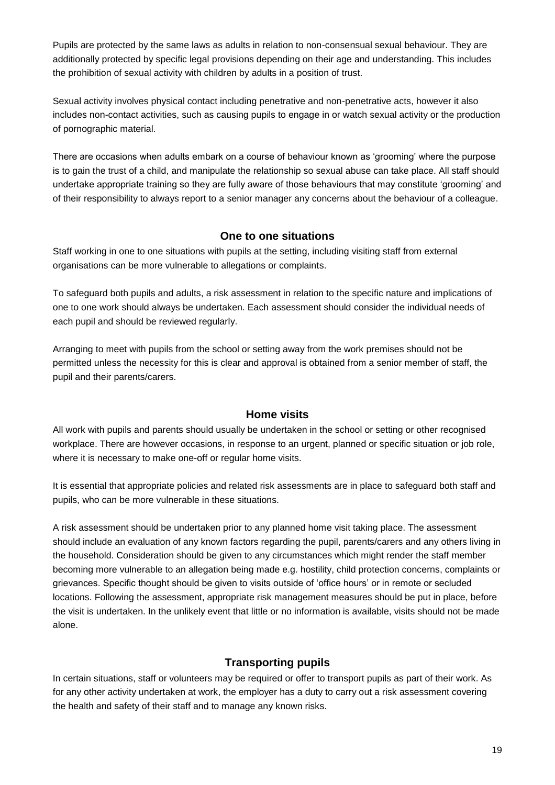Pupils are protected by the same laws as adults in relation to non-consensual sexual behaviour. They are additionally protected by specific legal provisions depending on their age and understanding. This includes the prohibition of sexual activity with children by adults in a position of trust.

Sexual activity involves physical contact including penetrative and non-penetrative acts, however it also includes non-contact activities, such as causing pupils to engage in or watch sexual activity or the production of pornographic material.

There are occasions when adults embark on a course of behaviour known as 'grooming' where the purpose is to gain the trust of a child, and manipulate the relationship so sexual abuse can take place. All staff should undertake appropriate training so they are fully aware of those behaviours that may constitute 'grooming' and of their responsibility to always report to a senior manager any concerns about the behaviour of a colleague.

#### **One to one situations**

<span id="page-18-0"></span>Staff working in one to one situations with pupils at the setting, including visiting staff from external organisations can be more vulnerable to allegations or complaints.

To safeguard both pupils and adults, a risk assessment in relation to the specific nature and implications of one to one work should always be undertaken. Each assessment should consider the individual needs of each pupil and should be reviewed regularly.

Arranging to meet with pupils from the school or setting away from the work premises should not be permitted unless the necessity for this is clear and approval is obtained from a senior member of staff, the pupil and their parents/carers.

#### **Home visits**

<span id="page-18-1"></span>All work with pupils and parents should usually be undertaken in the school or setting or other recognised workplace. There are however occasions, in response to an urgent, planned or specific situation or job role, where it is necessary to make one-off or regular home visits.

It is essential that appropriate policies and related risk assessments are in place to safeguard both staff and pupils, who can be more vulnerable in these situations.

A risk assessment should be undertaken prior to any planned home visit taking place. The assessment should include an evaluation of any known factors regarding the pupil, parents/carers and any others living in the household. Consideration should be given to any circumstances which might render the staff member becoming more vulnerable to an allegation being made e.g. hostility, child protection concerns, complaints or grievances. Specific thought should be given to visits outside of 'office hours' or in remote or secluded locations. Following the assessment, appropriate risk management measures should be put in place, before the visit is undertaken. In the unlikely event that little or no information is available, visits should not be made alone.

#### **Transporting pupils**

<span id="page-18-2"></span>In certain situations, staff or volunteers may be required or offer to transport pupils as part of their work. As for any other activity undertaken at work, the employer has a duty to carry out a risk assessment covering the health and safety of their staff and to manage any known risks.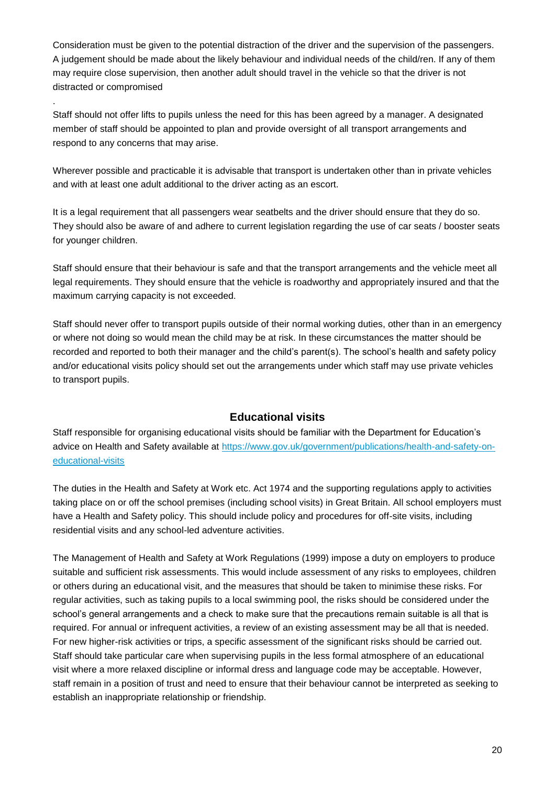Consideration must be given to the potential distraction of the driver and the supervision of the passengers. A judgement should be made about the likely behaviour and individual needs of the child/ren. If any of them may require close supervision, then another adult should travel in the vehicle so that the driver is not distracted or compromised

Staff should not offer lifts to pupils unless the need for this has been agreed by a manager. A designated member of staff should be appointed to plan and provide oversight of all transport arrangements and respond to any concerns that may arise.

.

Wherever possible and practicable it is advisable that transport is undertaken other than in private vehicles and with at least one adult additional to the driver acting as an escort.

It is a legal requirement that all passengers wear seatbelts and the driver should ensure that they do so. They should also be aware of and adhere to current legislation regarding the use of car seats / booster seats for younger children.

Staff should ensure that their behaviour is safe and that the transport arrangements and the vehicle meet all legal requirements. They should ensure that the vehicle is roadworthy and appropriately insured and that the maximum carrying capacity is not exceeded.

Staff should never offer to transport pupils outside of their normal working duties, other than in an emergency or where not doing so would mean the child may be at risk. In these circumstances the matter should be recorded and reported to both their manager and the child's parent(s). The school's health and safety policy and/or educational visits policy should set out the arrangements under which staff may use private vehicles to transport pupils.

#### **Educational visits**

<span id="page-19-0"></span>Staff responsible for organising educational visits should be familiar with the Department for Education's advice on Health and Safety available at [https://www.gov.uk/government/publications/health-and-safety-on](https://www.gov.uk/government/publications/health-and-safety-on-educational-visits)[educational-visits](https://www.gov.uk/government/publications/health-and-safety-on-educational-visits)

The duties in the Health and Safety at Work etc. Act 1974 and the supporting regulations apply to activities taking place on or off the school premises (including school visits) in Great Britain. All school employers must have a Health and Safety policy. This should include policy and procedures for off-site visits, including residential visits and any school-led adventure activities.

The Management of Health and Safety at Work Regulations (1999) impose a duty on employers to produce suitable and sufficient risk assessments. This would include assessment of any risks to employees, children or others during an educational visit, and the measures that should be taken to minimise these risks. For regular activities, such as taking pupils to a local swimming pool, the risks should be considered under the school's general arrangements and a check to make sure that the precautions remain suitable is all that is required. For annual or infrequent activities, a review of an existing assessment may be all that is needed. For new higher-risk activities or trips, a specific assessment of the significant risks should be carried out. Staff should take particular care when supervising pupils in the less formal atmosphere of an educational visit where a more relaxed discipline or informal dress and language code may be acceptable. However, staff remain in a position of trust and need to ensure that their behaviour cannot be interpreted as seeking to establish an inappropriate relationship or friendship.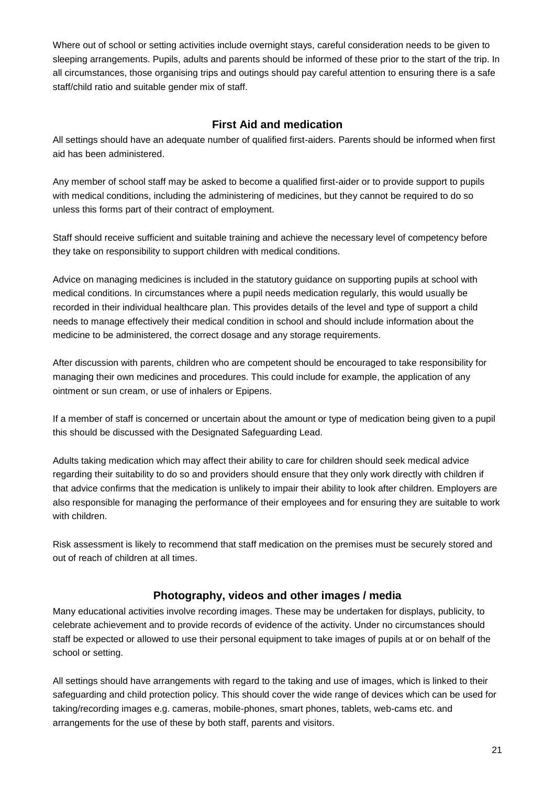Where out of school or setting activities include overnight stays, careful consideration needs to be given to sleeping arrangements. Pupils, adults and parents should be informed of these prior to the start of the trip. In all circumstances, those organising trips and outings should pay careful attention to ensuring there is a safe staff/child ratio and suitable gender mix of staff.

#### **First Aid and medication**

<span id="page-20-0"></span>All settings should have an adequate number of qualified first-aiders. Parents should be informed when first aid has been administered.

Any member of school staff may be asked to become a qualified first-aider or to provide support to pupils with medical conditions, including the administering of medicines, but they cannot be required to do so unless this forms part of their contract of employment.

Staff should receive sufficient and suitable training and achieve the necessary level of competency before they take on responsibility to support children with medical conditions.

Advice on managing medicines is included in the statutory guidance on supporting pupils at school with medical conditions. In circumstances where a pupil needs medication regularly, this would usually be recorded in their individual healthcare plan. This provides details of the level and type of support a child needs to manage effectively their medical condition in school and should include information about the medicine to be administered, the correct dosage and any storage requirements.

After discussion with parents, children who are competent should be encouraged to take responsibility for managing their own medicines and procedures. This could include for example, the application of any ointment or sun cream, or use of inhalers or Epipens.

If a member of staff is concerned or uncertain about the amount or type of medication being given to a pupil this should be discussed with the Designated Safeguarding Lead.

Adults taking medication which may affect their ability to care for children should seek medical advice regarding their suitability to do so and providers should ensure that they only work directly with children if that advice confirms that the medication is unlikely to impair their ability to look after children. Employers are also responsible for managing the performance of their employees and for ensuring they are suitable to work with children.

<span id="page-20-1"></span>Risk assessment is likely to recommend that staff medication on the premises must be securely stored and out of reach of children at all times.

#### **Photography, videos and other images / media**

Many educational activities involve recording images. These may be undertaken for displays, publicity, to celebrate achievement and to provide records of evidence of the activity. Under no circumstances should staff be expected or allowed to use their personal equipment to take images of pupils at or on behalf of the school or setting.

All settings should have arrangements with regard to the taking and use of images, which is linked to their safeguarding and child protection policy. This should cover the wide range of devices which can be used for taking/recording images e.g. cameras, mobile-phones, smart phones, tablets, web-cams etc. and arrangements for the use of these by both staff, parents and visitors.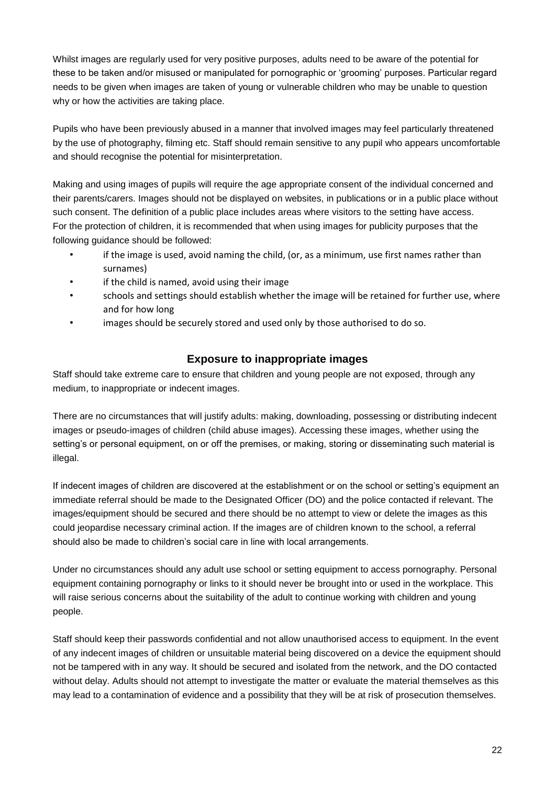Whilst images are regularly used for very positive purposes, adults need to be aware of the potential for these to be taken and/or misused or manipulated for pornographic or 'grooming' purposes. Particular regard needs to be given when images are taken of young or vulnerable children who may be unable to question why or how the activities are taking place.

Pupils who have been previously abused in a manner that involved images may feel particularly threatened by the use of photography, filming etc. Staff should remain sensitive to any pupil who appears uncomfortable and should recognise the potential for misinterpretation.

Making and using images of pupils will require the age appropriate consent of the individual concerned and their parents/carers. Images should not be displayed on websites, in publications or in a public place without such consent. The definition of a public place includes areas where visitors to the setting have access. For the protection of children, it is recommended that when using images for publicity purposes that the following guidance should be followed:

- if the image is used, avoid naming the child, (or, as a minimum, use first names rather than surnames)
- if the child is named, avoid using their image
- schools and settings should establish whether the image will be retained for further use, where and for how long
- <span id="page-21-0"></span>images should be securely stored and used only by those authorised to do so.

#### **Exposure to inappropriate images**

Staff should take extreme care to ensure that children and young people are not exposed, through any medium, to inappropriate or indecent images.

There are no circumstances that will justify adults: making, downloading, possessing or distributing indecent images or pseudo-images of children (child abuse images). Accessing these images, whether using the setting's or personal equipment, on or off the premises, or making, storing or disseminating such material is illegal.

If indecent images of children are discovered at the establishment or on the school or setting's equipment an immediate referral should be made to the Designated Officer (DO) and the police contacted if relevant. The images/equipment should be secured and there should be no attempt to view or delete the images as this could jeopardise necessary criminal action. If the images are of children known to the school, a referral should also be made to children's social care in line with local arrangements.

Under no circumstances should any adult use school or setting equipment to access pornography. Personal equipment containing pornography or links to it should never be brought into or used in the workplace. This will raise serious concerns about the suitability of the adult to continue working with children and young people.

Staff should keep their passwords confidential and not allow unauthorised access to equipment. In the event of any indecent images of children or unsuitable material being discovered on a device the equipment should not be tampered with in any way. It should be secured and isolated from the network, and the DO contacted without delay. Adults should not attempt to investigate the matter or evaluate the material themselves as this may lead to a contamination of evidence and a possibility that they will be at risk of prosecution themselves.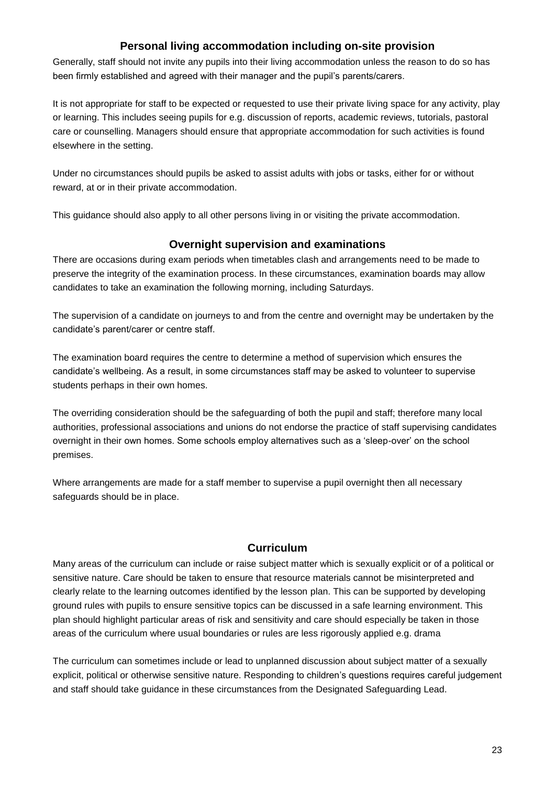#### **Personal living accommodation including on-site provision**

<span id="page-22-0"></span>Generally, staff should not invite any pupils into their living accommodation unless the reason to do so has been firmly established and agreed with their manager and the pupil's parents/carers.

It is not appropriate for staff to be expected or requested to use their private living space for any activity, play or learning. This includes seeing pupils for e.g. discussion of reports, academic reviews, tutorials, pastoral care or counselling. Managers should ensure that appropriate accommodation for such activities is found elsewhere in the setting.

Under no circumstances should pupils be asked to assist adults with jobs or tasks, either for or without reward, at or in their private accommodation.

This guidance should also apply to all other persons living in or visiting the private accommodation.

#### **Overnight supervision and examinations**

<span id="page-22-1"></span>There are occasions during exam periods when timetables clash and arrangements need to be made to preserve the integrity of the examination process. In these circumstances, examination boards may allow candidates to take an examination the following morning, including Saturdays.

The supervision of a candidate on journeys to and from the centre and overnight may be undertaken by the candidate's parent/carer or centre staff.

The examination board requires the centre to determine a method of supervision which ensures the candidate's wellbeing. As a result, in some circumstances staff may be asked to volunteer to supervise students perhaps in their own homes.

The overriding consideration should be the safeguarding of both the pupil and staff; therefore many local authorities, professional associations and unions do not endorse the practice of staff supervising candidates overnight in their own homes. Some schools employ alternatives such as a 'sleep-over' on the school premises.

Where arrangements are made for a staff member to supervise a pupil overnight then all necessary safeguards should be in place.

#### **Curriculum**

<span id="page-22-2"></span>Many areas of the curriculum can include or raise subject matter which is sexually explicit or of a political or sensitive nature. Care should be taken to ensure that resource materials cannot be misinterpreted and clearly relate to the learning outcomes identified by the lesson plan. This can be supported by developing ground rules with pupils to ensure sensitive topics can be discussed in a safe learning environment. This plan should highlight particular areas of risk and sensitivity and care should especially be taken in those areas of the curriculum where usual boundaries or rules are less rigorously applied e.g. drama

The curriculum can sometimes include or lead to unplanned discussion about subject matter of a sexually explicit, political or otherwise sensitive nature. Responding to children's questions requires careful judgement and staff should take guidance in these circumstances from the Designated Safeguarding Lead.